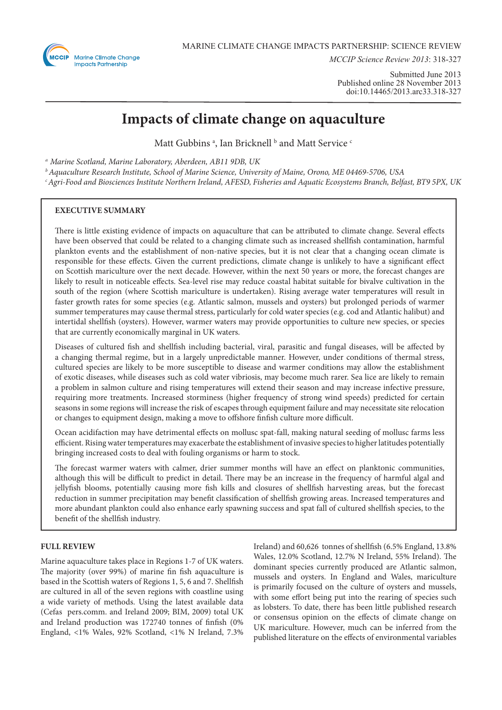

*MCCIP Science Review 2013*: 318-327

Submitted June 2013 Published online 28 November 2013 doi:10.14465/2013.arc33.318-327

# **Impacts of climate change on aquaculture**

Matt Gubbins<sup>a</sup>, Ian Bricknell b and Matt Service c

*a Marine Scotland, Marine Laboratory, Aberdeen, AB11 9DB, UK* 

*b Aquaculture Research Institute, School of Marine Science, University of Maine, Orono, ME 04469-5706, USA*

*c Agri-Food and Biosciences Institute Northern Ireland, AFESD, Fisheries and Aquatic Ecosystems Branch, Belfast, BT9 5PX, UK*

# **EXECUTIVE SUMMARY**

There is little existing evidence of impacts on aquaculture that can be attributed to climate change. Several effects have been observed that could be related to a changing climate such as increased shellfish contamination, harmful plankton events and the establishment of non-native species, but it is not clear that a changing ocean climate is responsible for these effects. Given the current predictions, climate change is unlikely to have a significant effect on Scottish mariculture over the next decade. However, within the next 50 years or more, the forecast changes are likely to result in noticeable effects. Sea-level rise may reduce coastal habitat suitable for bivalve cultivation in the south of the region (where Scottish mariculture is undertaken). Rising average water temperatures will result in faster growth rates for some species (e.g. Atlantic salmon, mussels and oysters) but prolonged periods of warmer summer temperatures may cause thermal stress, particularly for cold water species (e.g. cod and Atlantic halibut) and intertidal shellfish (oysters). However, warmer waters may provide opportunities to culture new species, or species that are currently economically marginal in UK waters.

Diseases of cultured fish and shellfish including bacterial, viral, parasitic and fungal diseases, will be affected by a changing thermal regime, but in a largely unpredictable manner. However, under conditions of thermal stress, cultured species are likely to be more susceptible to disease and warmer conditions may allow the establishment of exotic diseases, while diseases such as cold water vibriosis, may become much rarer. Sea lice are likely to remain a problem in salmon culture and rising temperatures will extend their season and may increase infective pressure, requiring more treatments. Increased storminess (higher frequency of strong wind speeds) predicted for certain seasons in some regions will increase the risk of escapes through equipment failure and may necessitate site relocation or changes to equipment design, making a move to offshore finfish culture more difficult.

Ocean acidifaction may have detrimental effects on mollusc spat-fall, making natural seeding of mollusc farms less efficient. Rising water temperatures may exacerbate the establishment of invasive species to higher latitudes potentially bringing increased costs to deal with fouling organisms or harm to stock.

The forecast warmer waters with calmer, drier summer months will have an effect on planktonic communities, although this will be difficult to predict in detail. There may be an increase in the frequency of harmful algal and jellyfish blooms, potentially causing more fish kills and closures of shellfish harvesting areas, but the forecast reduction in summer precipitation may benefit classification of shellfish growing areas. Increased temperatures and more abundant plankton could also enhance early spawning success and spat fall of cultured shellfish species, to the benefit of the shellfish industry.

## **FULL REVIEW**

Marine aquaculture takes place in Regions 1-7 of UK waters. The majority (over 99%) of marine fin fish aquaculture is based in the Scottish waters of Regions 1, 5, 6 and 7. Shellfish are cultured in all of the seven regions with coastline using a wide variety of methods. Using the latest available data (Cefas pers.comm. and Ireland 2009; BIM, 2009) total UK and Ireland production was 172740 tonnes of finfish (0% England, <1% Wales, 92% Scotland, <1% N Ireland, 7.3%

Ireland) and 60,626 tonnes of shellfish (6.5% England, 13.8% Wales, 12.0% Scotland, 12.7% N Ireland, 55% Ireland). The dominant species currently produced are Atlantic salmon, mussels and oysters. In England and Wales, mariculture is primarily focused on the culture of oysters and mussels, with some effort being put into the rearing of species such as lobsters. To date, there has been little published research or consensus opinion on the effects of climate change on UK mariculture. However, much can be inferred from the published literature on the effects of environmental variables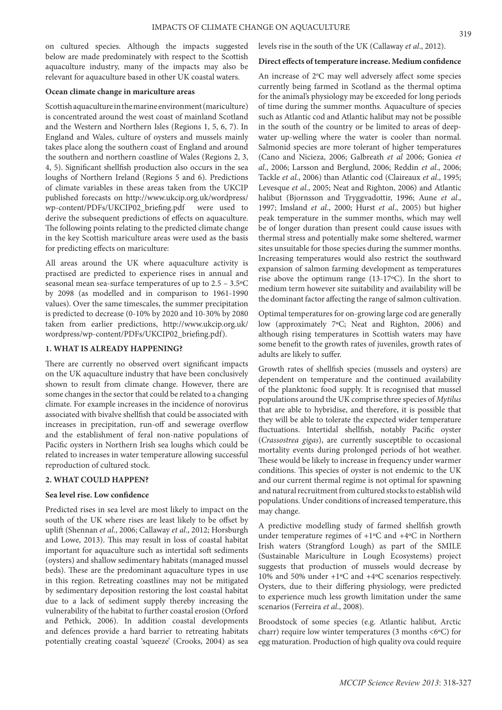on cultured species. Although the impacts suggested below are made predominately with respect to the Scottish aquaculture industry, many of the impacts may also be relevant for aquaculture based in other UK coastal waters.

## **Ocean climate change in mariculture areas**

Scottish aquaculture in the marine environment (mariculture) is concentrated around the west coast of mainland Scotland and the Western and Northern Isles (Regions 1, 5, 6, 7). In England and Wales, culture of oysters and mussels mainly takes place along the southern coast of England and around the southern and northern coastline of Wales (Regions 2, 3, 4, 5). Significant shellfish production also occurs in the sea loughs of Northern Ireland (Regions 5 and 6). Predictions of climate variables in these areas taken from the UKCIP published forecasts on http://www.ukcip.org.uk/wordpress/ wp-content/PDFs/UKCIP02\_briefing.pdf were used to derive the subsequent predictions of effects on aquaculture. The following points relating to the predicted climate change in the key Scottish mariculture areas were used as the basis for predicting effects on mariculture:

All areas around the UK where aquaculture activity is practised are predicted to experience rises in annual and seasonal mean sea-surface temperatures of up to 2.5 – 3.5ºC by 2098 (as modelled and in comparison to 1961-1990 values). Over the same timescales, the summer precipitation is predicted to decrease (0-10% by 2020 and 10-30% by 2080 taken from earlier predictions, http://www.ukcip.org.uk/ wordpress/wp-content/PDFs/UKCIP02\_briefing.pdf).

## **1. WHAT IS ALREADY HAPPENING?**

There are currently no observed overt significant impacts on the UK aquaculture industry that have been conclusively shown to result from climate change. However, there are some changes in the sector that could be related to a changing climate. For example increases in the incidence of norovirus associated with bivalve shellfish that could be associated with increases in precipitation, run-off and sewerage overflow and the establishment of feral non-native populations of Pacific oysters in Northern Irish sea loughs which could be related to increases in water temperature allowing successful reproduction of cultured stock.

#### **2. WHAT COULD HAPPEN?**

## **Sea level rise. Low confidence**

Predicted rises in sea level are most likely to impact on the south of the UK where rises are least likely to be offset by uplift (Shennan *et al*., 2006; Callaway *et al*., 2012; Horsburgh and Lowe, 2013). This may result in loss of coastal habitat important for aquaculture such as intertidal soft sediments (oysters) and shallow sedimentary habitats (managed mussel beds). These are the predominant aquaculture types in use in this region. Retreating coastlines may not be mitigated by sedimentary deposition restoring the lost coastal habitat due to a lack of sediment supply thereby increasing the vulnerability of the habitat to further coastal erosion (Orford and Pethick, 2006). In addition coastal developments and defences provide a hard barrier to retreating habitats potentially creating coastal 'squeeze' (Crooks, 2004) as sea

levels rise in the south of the UK (Callaway *et al*., 2012).

## **Direct effects of temperature increase. Medium confidence**

An increase of 2°C may well adversely affect some species currently being farmed in Scotland as the thermal optima for the animal's physiology may be exceeded for long periods of time during the summer months. Aquaculture of species such as Atlantic cod and Atlantic halibut may not be possible in the south of the country or be limited to areas of deepwater up-welling where the water is cooler than normal. Salmonid species are more tolerant of higher temperatures (Cano and Nicieza, 2006; Galbreath *et al* 2006; Goniea *et al*., 2006; Larsson and Berglund, 2006; Reddin *et al*., 2006; Tackle *et al*., 2006) than Atlantic cod (Claireaux *et al*., 1995; Levesque *et al*., 2005; Neat and Righton, 2006) and Atlantic halibut (Bjornsson and Tryggvadottir, 1996; Aune *et al*., 1997; Imsland *et al*., 2000; Hurst *et al*., 2005) but higher peak temperature in the summer months, which may well be of longer duration than present could cause issues with thermal stress and potentially make some sheltered, warmer sites unsuitable for those species during the summer months. Increasing temperatures would also restrict the southward expansion of salmon farming development as temperatures rise above the optimum range (13-17ºC). In the short to medium term however site suitability and availability will be the dominant factor affecting the range of salmon cultivation.

Optimal temperatures for on-growing large cod are generally low (approximately 7ºC; Neat and Righton, 2006) and although rising temperatures in Scottish waters may have some benefit to the growth rates of juveniles, growth rates of adults are likely to suffer.

Growth rates of shellfish species (mussels and oysters) are dependent on temperature and the continued availability of the planktonic food supply. It is recognised that mussel populations around the UK comprise three species of *Mytilus* that are able to hybridise, and therefore, it is possible that they will be able to tolerate the expected wider temperature fluctuations. Intertidal shellfish, notably Pacific oyster (*Crassostrea gigas*), are currently susceptible to occasional mortality events during prolonged periods of hot weather. These would be likely to increase in frequency under warmer conditions. This species of oyster is not endemic to the UK and our current thermal regime is not optimal for spawning and natural recruitment from cultured stocks to establish wild populations. Under conditions of increased temperature, this may change.

A predictive modelling study of farmed shellfish growth under temperature regimes of +1ºC and +4ºC in Northern Irish waters (Strangford Lough) as part of the SMILE (Sustainable Mariculture in Lough Ecosystems) project suggests that production of mussels would decrease by 10% and 50% under +1ºC and +4ºC scenarios respectively. Oysters, due to their differing physiology, were predicted to experience much less growth limitation under the same scenarios (Ferreira *et al*., 2008).

Broodstock of some species (e.g. Atlantic halibut, Arctic charr) require low winter temperatures (3 months <6ºC) for egg maturation. Production of high quality ova could require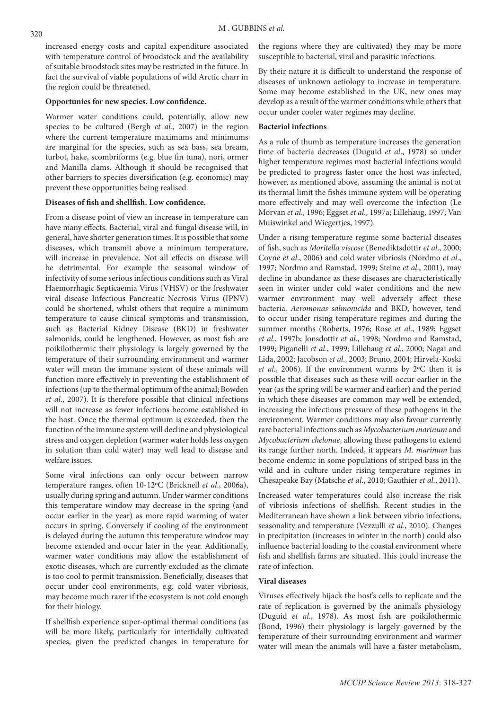increased energy costs and capital expenditure associated with temperature control of broodstock and the availability of suitable broodstock sites may be restricted in the future. In fact the survival of viable populations of wild Arctic charr in the region could be threatened.

## **Opportunies for new species. Low confidence.**

Warmer water conditions could, potentially, allow new species to be cultured (Bergh *et al.*, 2007) in the region where the current temperature maximums and minimums are marginal for the species, such as sea bass, sea bream, turbot, hake, scombriforms (e.g. blue fin tuna), nori, ormer and Manilla clams. Although it should be recognised that other barriers to species diversification (e.g. economic) may prevent these opportunities being realised.

## **Diseases of fish and shellfish. Low confidence.**

From a disease point of view an increase in temperature can have many effects. Bacterial, viral and fungal disease will, in general, have shorter generation times. It is possible that some diseases, which transmit above a minimum temperature, will increase in prevalence. Not all effects on disease will be detrimental. For example the seasonal window of infectivity of some serious infectious conditions such as Viral Haemorrhagic Septicaemia Virus (VHSV) or the freshwater viral disease Infectious Pancreatic Necrosis Virus (IPNV) could be shortened, whilst others that require a minimum temperature to cause clinical symptoms and transmission, such as Bacterial Kidney Disease (BKD) in freshwater salmonids, could be lengthened. However, as most fish are poikilothermic their physiology is largely governed by the temperature of their surrounding environment and warmer water will mean the immune system of these animals will function more effectively in preventing the establishment of infections (up to the thermal optimum of the animal; Bowden *et al*., 2007). It is therefore possible that clinical infections will not increase as fewer infections become established in the host. Once the thermal optimum is exceeded, then the function of the immune system will decline and physiological stress and oxygen depletion (warmer water holds less oxygen in solution than cold water) may well lead to disease and welfare issues.

Some viral infections can only occur between narrow temperature ranges, often 10-12ºC (Bricknell *et al*., 2006a), usually during spring and autumn. Under warmer conditions this temperature window may decrease in the spring (and occur earlier in the year) as more rapid warming of water occurs in spring. Conversely if cooling of the environment is delayed during the autumn this temperature window may become extended and occur later in the year. Additionally, warmer water conditions may allow the establishment of exotic diseases, which are currently excluded as the climate is too cool to permit transmission. Beneficially, diseases that occur under cool environments, e.g. cold water vibriosis, may become much rarer if the ecosystem is not cold enough for their biology.

If shellfish experience super-optimal thermal conditions (as will be more likely, particularly for intertidally cultivated species, given the predicted changes in temperature for the regions where they are cultivated) they may be more susceptible to bacterial, viral and parasitic infections.

By their nature it is difficult to understand the response of diseases of unknown aetiology to increase in temperature. Some may become established in the UK, new ones may develop as a result of the warmer conditions while others that occur under cooler water regimes may decline.

#### **Bacterial infections**

As a rule of thumb as temperature increases the generation time of bacteria decreases (Duguid *et al*., 1978) so under higher temperature regimes most bacterial infections would be predicted to progress faster once the host was infected, however, as mentioned above, assuming the animal is not at its thermal limit the fishes immune system will be operating more effectively and may well overcome the infection (Le Morvan *et al*., 1996; Eggset *et al*., 1997a; Lillehaug, 1997; Van Muiswinkel and Wiegertjes, 1997).

Under a rising temperature regime some bacterial diseases of fish, such as *Moritella viscose* (Benediktsdottir *et al*., 2000; Coyne *et al*., 2006) and cold water vibriosis (Nordmo *et al*., 1997; Nordmo and Ramstad, 1999; Steine *et al*., 2001), may decline in abundance as these diseases are characteristically seen in winter under cold water conditions and the new warmer environment may well adversely affect these bacteria. *Aeromonas salmonicida* and BKD, however, tend to occur under rising temperature regimes and during the summer months (Roberts, 1976; Rose *et al*., 1989; Eggset *et al*., 1997b; Jonsdottir *et al*., 1998; Nordmo and Ramstad, 1999; Piganelli *et al*., 1999; Lillehaug *et al*., 2000; Nagai and Lida, 2002; Jacobson *et al*., 2003; Bruno, 2004; Hirvela-Koski *et al*., 2006). If the environment warms by 2ºC then it is possible that diseases such as these will occur earlier in the year (as the spring will be warmer and earlier) and the period in which these diseases are common may well be extended, increasing the infectious pressure of these pathogens in the environment. Warmer conditions may also favour currently rare bacterial infections such as *Mycobacterium marinum* and *Mycobacterium chelonae*, allowing these pathogens to extend its range further north. Indeed, it appears *M. marinum* has become endemic in some populations of striped bass in the wild and in culture under rising temperature regimes in Chesapeake Bay (Matsche *et al*., 2010; Gauthier *et al*., 2011).

Increased water temperatures could also increase the risk of vibriosis infections of shellfish. Recent studies in the Mediterranean have shown a link between vibrio infections, seasonality and temperature (Vezzulli *et al*., 2010). Changes in precipitation (increases in winter in the north) could also influence bacterial loading to the coastal environment where fish and shellfish farms are situated. This could increase the rate of infection.

#### **Viral diseases**

Viruses effectively hijack the host's cells to replicate and the rate of replication is governed by the animal's physiology (Duguid *et al*., 1978). As most fish are poikilothermic (Bond, 1996) their physiology is largely governed by the temperature of their surrounding environment and warmer water will mean the animals will have a faster metabolism,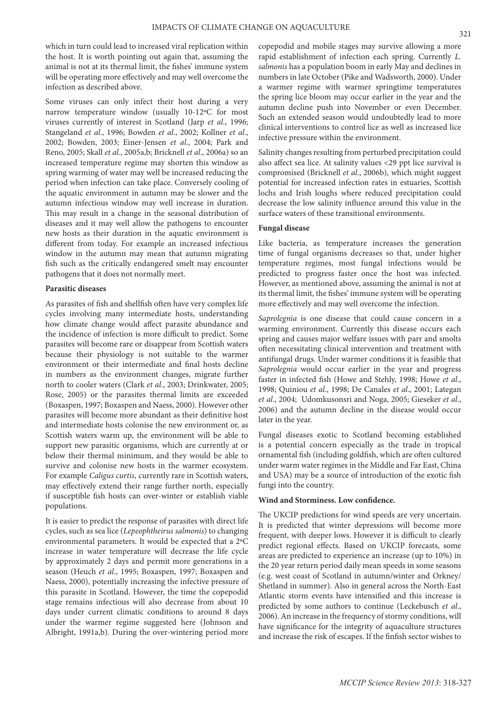which in turn could lead to increased viral replication within the host. It is worth pointing out again that, assuming the animal is not at its thermal limit, the fishes' immune system will be operating more effectively and may well overcome the infection as described above.

Some viruses can only infect their host during a very narrow temperature window (usually 10-12ºC for most viruses currently of interest in Scotland (Jarp *et al*., 1996; Stangeland *et al*., 1996; Bowden *et al*., 2002; Kollner *et al*., 2002; Bowden, 2003; Einer-Jensen *et al*., 2004; Park and Reno, 2005; Skall *et al*., 2005a,b; Bricknell *et al*., 2006a) so an increased temperature regime may shorten this window as spring warming of water may well be increased reducing the period when infection can take place. Conversely cooling of the aquatic environment in autumn may be slower and the autumn infectious window may well increase in duration. This may result in a change in the seasonal distribution of diseases and it may well allow the pathogens to encounter new hosts as their duration in the aquatic environment is different from today. For example an increased infectious window in the autumn may mean that autumn migrating fish such as the critically endangered smelt may encounter pathogens that it does not normally meet.

## **Parasitic diseases**

As parasites of fish and shellfish often have very complex life cycles involving many intermediate hosts, understanding how climate change would affect parasite abundance and the incidence of infection is more difficult to predict. Some parasites will become rare or disappear from Scottish waters because their physiology is not suitable to the warmer environment or their intermediate and final hosts decline in numbers as the environment changes, migrate further north to cooler waters (Clark *et al*., 2003; Drinkwater, 2005; Rose, 2005) or the parasites thermal limits are exceeded (Boxaspen, 1997; Boxaspen and Naess, 2000). However other parasites will become more abundant as their definitive host and intermediate hosts colonise the new environment or, as Scottish waters warm up, the environment will be able to support new parasitic organisms, which are currently at or below their thermal minimum, and they would be able to survive and colonise new hosts in the warmer ecosystem. For example *Caligus curtis*, currently rare in Scottish waters, may effectively extend their range further north, especially if susceptible fish hosts can over-winter or establish viable populations.

It is easier to predict the response of parasites with direct life cycles, such as sea lice (*Lepeophtheirus salmonis*) to changing environmental parameters. It would be expected that a 2ºC increase in water temperature will decrease the life cycle by approximately 2 days and permit more generations in a season (Heuch *et al*., 1995; Boxaspen, 1997; Boxaspen and Naess, 2000), potentially increasing the infective pressure of this parasite in Scotland. However, the time the copepodid stage remains infectious will also decrease from about 10 days under current climatic conditions to around 8 days under the warmer regime suggested here (Johnson and Albright, 1991a,b). During the over-wintering period more

copepodid and mobile stages may survive allowing a more rapid establishment of infection each spring. Currently *L. salmonis* has a population boom in early May and declines in numbers in late October (Pike and Wadsworth, 2000). Under a warmer regime with warmer springtime temperatures the spring lice bloom may occur earlier in the year and the autumn decline push into November or even December. Such an extended season would undoubtedly lead to more clinical interventions to control lice as well as increased lice infective pressure within the environment.

Salinity changes resulting from perturbed precipitation could also affect sea lice. At salinity values <29 ppt lice survival is compromised (Bricknell *et al*., 2006b), which might suggest potential for increased infection rates in estuaries, Scottish lochs and Irish loughs where reduced precipitation could decrease the low salinity influence around this value in the surface waters of these transitional environments.

## **Fungal disease**

Like bacteria, as temperature increases the generation time of fungal organisms decreases so that, under higher temperature regimes, most fungal infections would be predicted to progress faster once the host was infected. However, as mentioned above, assuming the animal is not at its thermal limit, the fishes' immune system will be operating more effectively and may well overcome the infection.

*Saprolegnia* is one disease that could cause concern in a warming environment. Currently this disease occurs each spring and causes major welfare issues with parr and smolts often necessitating clinical intervention and treatment with antifungal drugs. Under warmer conditions it is feasible that *Saprolegnia* would occur earlier in the year and progress faster in infected fish (Howe and Stehly, 1998; Howe *et al*., 1998; Quiniou *et al*., 1998; De Canales *et al*., 2001; Lategan *et al*., 2004; Udomkusonsri and Noga, 2005; Gieseker *et al*., 2006) and the autumn decline in the disease would occur later in the year.

Fungal diseases exotic to Scotland becoming established is a potential concern especially as the trade in tropical ornamental fish (including goldfish, which are often cultured under warm water regimes in the Middle and Far East, China and USA) may be a source of introduction of the exotic fish fungi into the country.

## **Wind and Storminess. Low confidence.**

The UKCIP predictions for wind speeds are very uncertain. It is predicted that winter depressions will become more frequent, with deeper lows. However it is difficult to clearly predict regional effects. Based on UKCIP forecasts, some areas are predicted to experience an increase (up to 10%) in the 20 year return period daily mean speeds in some seasons (e.g. west coast of Scotland in autumn/winter and Orkney/ Shetland in summer). Also in general across the North-East Atlantic storm events have intensified and this increase is predicted by some authors to continue (Leckebusch *et al*., 2006). An increase in the frequency of stormy conditions, will have significance for the integrity of aquaculture structures and increase the risk of escapes. If the finfish sector wishes to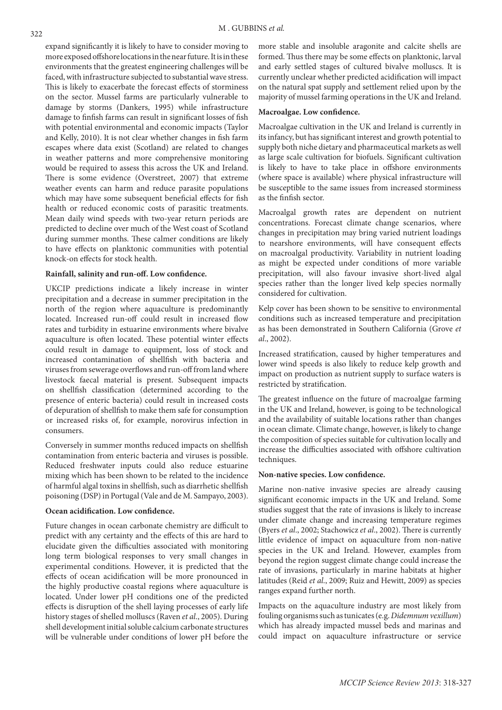expand significantly it is likely to have to consider moving to more exposed offshore locations in the near future. It is in these environments that the greatest engineering challenges will be faced, with infrastructure subjected to substantial wave stress. This is likely to exacerbate the forecast effects of storminess on the sector. Mussel farms are particularly vulnerable to damage by storms (Dankers, 1995) while infrastructure damage to finfish farms can result in significant losses of fish with potential environmental and economic impacts (Taylor and Kelly, 2010). It is not clear whether changes in fish farm escapes where data exist (Scotland) are related to changes in weather patterns and more comprehensive monitoring would be required to assess this across the UK and Ireland. There is some evidence (Overstreet, 2007) that extreme weather events can harm and reduce parasite populations which may have some subsequent beneficial effects for fish health or reduced economic costs of parasitic treatments. Mean daily wind speeds with two-year return periods are predicted to decline over much of the West coast of Scotland during summer months. These calmer conditions are likely to have effects on planktonic communities with potential knock-on effects for stock health.

## **Rainfall, salinity and run-off. Low confidence.**

UKCIP predictions indicate a likely increase in winter precipitation and a decrease in summer precipitation in the north of the region where aquaculture is predominantly located. Increased run-off could result in increased flow rates and turbidity in estuarine environments where bivalve aquaculture is often located. These potential winter effects could result in damage to equipment, loss of stock and increased contamination of shellfish with bacteria and viruses from sewerage overflows and run-off from land where livestock faecal material is present. Subsequent impacts on shellfish classification (determined according to the presence of enteric bacteria) could result in increased costs of depuration of shellfish to make them safe for consumption or increased risks of, for example, norovirus infection in consumers.

Conversely in summer months reduced impacts on shellfish contamination from enteric bacteria and viruses is possible. Reduced freshwater inputs could also reduce estuarine mixing which has been shown to be related to the incidence of harmful algal toxins in shellfish, such as diarrhetic shellfish poisoning (DSP) in Portugal (Vale and de M. Sampayo, 2003).

#### **Ocean acidification. Low confidence.**

Future changes in ocean carbonate chemistry are difficult to predict with any certainty and the effects of this are hard to elucidate given the difficulties associated with monitoring long term biological responses to very small changes in experimental conditions. However, it is predicted that the effects of ocean acidification will be more pronounced in the highly productive coastal regions where aquaculture is located. Under lower pH conditions one of the predicted effects is disruption of the shell laying processes of early life history stages of shelled molluscs (Raven *et al*., 2005). During shell development initial soluble calcium carbonate structures will be vulnerable under conditions of lower pH before the

more stable and insoluble aragonite and calcite shells are formed. Thus there may be some effects on planktonic, larval and early settled stages of cultured bivalve molluscs. It is currently unclear whether predicted acidification will impact on the natural spat supply and settlement relied upon by the majority of mussel farming operations in the UK and Ireland.

## **Macroalgae. Low confidence.**

Macroalgae cultivation in the UK and Ireland is currently in its infancy, but has significant interest and growth potential to supply both niche dietary and pharmaceutical markets as well as large scale cultivation for biofuels. Significant cultivation is likely to have to take place in offshore environments (where space is available) where physical infrastructure will be susceptible to the same issues from increased storminess as the finfish sector.

Macroalgal growth rates are dependent on nutrient concentrations. Forecast climate change scenarios, where changes in precipitation may bring varied nutrient loadings to nearshore environments, will have consequent effects on macroalgal productivity. Variability in nutrient loading as might be expected under conditions of more variable precipitation, will also favour invasive short-lived algal species rather than the longer lived kelp species normally considered for cultivation.

Kelp cover has been shown to be sensitive to environmental conditions such as increased temperature and precipitation as has been demonstrated in Southern California (Grove *et al*., 2002).

Increased stratification, caused by higher temperatures and lower wind speeds is also likely to reduce kelp growth and impact on production as nutrient supply to surface waters is restricted by stratification.

The greatest influence on the future of macroalgae farming in the UK and Ireland, however, is going to be technological and the availability of suitable locations rather than changes in ocean climate. Climate change, however, is likely to change the composition of species suitable for cultivation locally and increase the difficulties associated with offshore cultivation techniques.

## **Non-native species. Low confidence.**

Marine non-native invasive species are already causing significant economic impacts in the UK and Ireland. Some studies suggest that the rate of invasions is likely to increase under climate change and increasing temperature regimes (Byers *et al*., 2002; Stachowicz *et al*., 2002). There is currently little evidence of impact on aquaculture from non-native species in the UK and Ireland. However, examples from beyond the region suggest climate change could increase the rate of invasions, particularly in marine habitats at higher latitudes (Reid *et al*., 2009; Ruiz and Hewitt, 2009) as species ranges expand further north.

Impacts on the aquaculture industry are most likely from fouling organisms such as tunicates (e.g. *Didemnum vexillum*) which has already impacted mussel beds and marinas and could impact on aquaculture infrastructure or service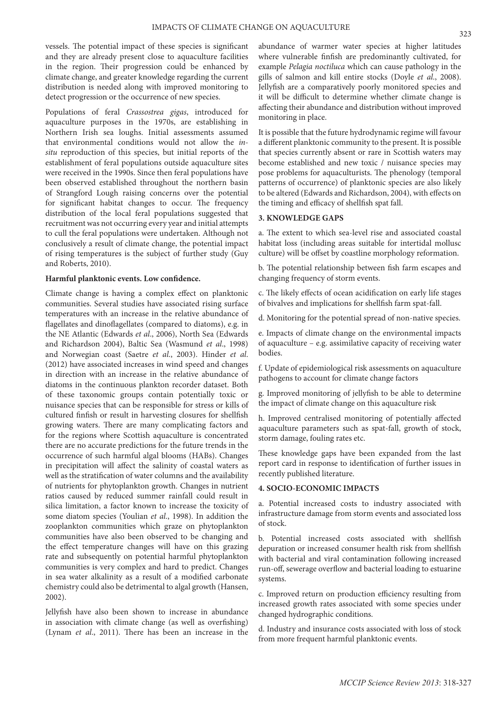vessels. The potential impact of these species is significant and they are already present close to aquaculture facilities in the region. Their progression could be enhanced by climate change, and greater knowledge regarding the current distribution is needed along with improved monitoring to detect progression or the occurrence of new species.

Populations of feral *Crassostrea gigas*, introduced for aquaculture purposes in the 1970s, are establishing in Northern Irish sea loughs. Initial assessments assumed that environmental conditions would not allow the *insitu* reproduction of this species, but initial reports of the establishment of feral populations outside aquaculture sites were received in the 1990s. Since then feral populations have been observed established throughout the northern basin of Strangford Lough raising concerns over the potential for significant habitat changes to occur. The frequency distribution of the local feral populations suggested that recruitment was not occurring every year and initial attempts to cull the feral populations were undertaken. Although not conclusively a result of climate change, the potential impact of rising temperatures is the subject of further study (Guy and Roberts, 2010).

#### **Harmful planktonic events. Low confidence.**

Climate change is having a complex effect on planktonic communities. Several studies have associated rising surface temperatures with an increase in the relative abundance of flagellates and dinoflagellates (compared to diatoms), e.g. in the NE Atlantic (Edwards *et al*., 2006), North Sea (Edwards and Richardson 2004), Baltic Sea (Wasmund *et al*., 1998) and Norwegian coast (Saetre *et al*., 2003). Hinder *et al*. (2012) have associated increases in wind speed and changes in direction with an increase in the relative abundance of diatoms in the continuous plankton recorder dataset. Both of these taxonomic groups contain potentially toxic or nuisance species that can be responsible for stress or kills of cultured finfish or result in harvesting closures for shellfish growing waters. There are many complicating factors and for the regions where Scottish aquaculture is concentrated there are no accurate predictions for the future trends in the occurrence of such harmful algal blooms (HABs). Changes in precipitation will affect the salinity of coastal waters as well as the stratification of water columns and the availability of nutrients for phytoplankton growth. Changes in nutrient ratios caused by reduced summer rainfall could result in silica limitation, a factor known to increase the toxicity of some diatom species (Youlian *et al*., 1998). In addition the zooplankton communities which graze on phytoplankton communities have also been observed to be changing and the effect temperature changes will have on this grazing rate and subsequently on potential harmful phytoplankton communities is very complex and hard to predict. Changes in sea water alkalinity as a result of a modified carbonate chemistry could also be detrimental to algal growth (Hansen, 2002).

Jellyfish have also been shown to increase in abundance in association with climate change (as well as overfishing) (Lynam *et al*., 2011). There has been an increase in the abundance of warmer water species at higher latitudes where vulnerable finfish are predominantly cultivated, for example *Pelagia noctiluca* which can cause pathology in the gills of salmon and kill entire stocks (Doyle *et al*., 2008). Jellyfish are a comparatively poorly monitored species and it will be difficult to determine whether climate change is affecting their abundance and distribution without improved monitoring in place.

It is possible that the future hydrodynamic regime will favour a different planktonic community to the present. It is possible that species currently absent or rare in Scottish waters may become established and new toxic / nuisance species may pose problems for aquaculturists. The phenology (temporal patterns of occurrence) of planktonic species are also likely to be altered (Edwards and Richardson, 2004), with effects on the timing and efficacy of shellfish spat fall.

# **3. KNOWLEDGE GAPS**

a. The extent to which sea-level rise and associated coastal habitat loss (including areas suitable for intertidal mollusc culture) will be offset by coastline morphology reformation.

b. The potential relationship between fish farm escapes and changing frequency of storm events.

c. The likely effects of ocean acidification on early life stages of bivalves and implications for shellfish farm spat-fall.

d. Monitoring for the potential spread of non-native species.

e. Impacts of climate change on the environmental impacts of aquaculture – e.g. assimilative capacity of receiving water bodies.

f. Update of epidemiological risk assessments on aquaculture pathogens to account for climate change factors

g. Improved monitoring of jellyfish to be able to determine the impact of climate change on this aquaculture risk

h. Improved centralised monitoring of potentially affected aquaculture parameters such as spat-fall, growth of stock, storm damage, fouling rates etc.

These knowledge gaps have been expanded from the last report card in response to identification of further issues in recently published literature.

## **4. SOCIO-ECONOMIC IMPACTS**

a. Potential increased costs to industry associated with infrastructure damage from storm events and associated loss of stock.

b. Potential increased costs associated with shellfish depuration or increased consumer health risk from shellfish with bacterial and viral contamination following increased run-off, sewerage overflow and bacterial loading to estuarine systems.

c. Improved return on production efficiency resulting from increased growth rates associated with some species under changed hydrographic conditions.

d. Industry and insurance costs associated with loss of stock from more frequent harmful planktonic events.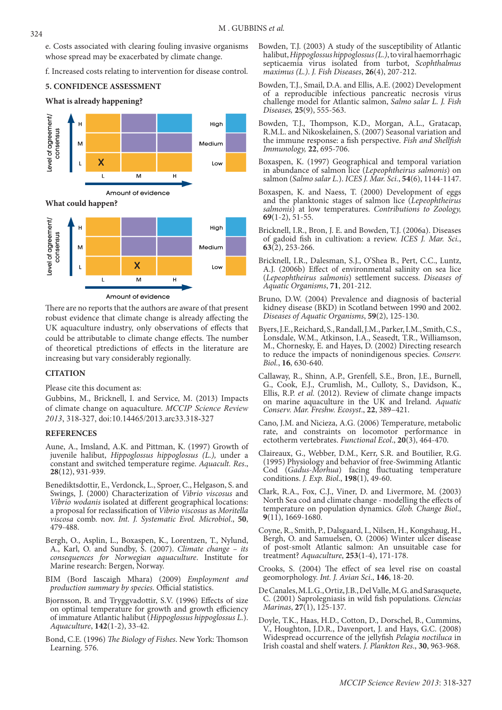e. Costs associated with clearing fouling invasive organisms whose spread may be exacerbated by climate change.

f. Increased costs relating to intervention for disease control.

# **5. CONFIDENCE ASSESSMENT**





Amount of evidence

There are no reports that the authors are aware of that present robust evidence that climate change is already affecting the UK aquaculture industry, only observations of effects that could be attributable to climate change effects. The number of theoretical ptredictions of effects in the literature are increasing but vary considerably regionally.

## **CITATION**

Please cite this document as:

Gubbins, M., Bricknell, I. and Service, M. (2013) Impacts of climate change on aquaculture. *MCCIP Science Review 2013*, 318-327, doi:10.14465/2013.arc33.318-327

#### **REFERENCES**

- Aune, A., Imsland, A.K. and Pittman, K. (1997) Growth of juvenile halibut, *Hippoglossus hippoglossus (L.),* under a constant and switched temperature regime. *Aquacult. Res*., **28**(12), 931-939.
- Benediktsdottir, E., Verdonck, L., Sproer, C., Helgason, S. and Swings, J. (2000) Characterization of *Vibrio viscosus* and *Vibrio wodanis* isolated at different geographical locations: a proposal for reclassification of *Vibrio viscosus* as *Moritella viscosa* comb. nov. *Int. J. Systematic Evol. Microbiol*., **50**, 479-488.
- Bergh, O., Asplin, L., Boxaspen, K., Lorentzen, T., Nylund, A., Karl, O. and Sundby, S. (2007). *Climate change – its consequences for Norwegian aquaculture*. Institute for Marine research: Bergen, Norway.
- BIM (Bord Iascaigh Mhara) (2009) *Employment and production summary by species.* Official statistics.
- Bjornsson, B. and Tryggvadottir, S.V. (1996) Effects of size on optimal temperature for growth and growth efficiency of immature Atlantic halibut (*Hippoglossus hippoglossus L.*). *Aquaculture*, **142**(1-2), 33-42.
- Bond, C.E. (1996) *The Biology of Fishes*. New York: Thomson Learning. 576.
- Bowden, T.J. (2003) A study of the susceptibility of Atlantic halibut, *Hippoglossus hippoglossus (L.)*, to viral haemorrhagic septicaemia virus isolated from turbot, *Scophthalmus maximus (L.)*. *J. Fish Diseases*, **26**(4), 207-212.
- Bowden, T.J., Smail, D.A. and Ellis, A.E. (2002) Development of a reproducible infectious pancreatic necrosis virus challenge model for Atlantic salmon, *Salmo salar L. J. Fish Diseases,* **25**(9), 555-563.
- Bowden, T.J., Thompson, K.D., Morgan, A.L., Gratacap, R.M.L. and Nikoskelainen, S. (2007) Seasonal variation and the immune response: a fish perspective. *Fish and Shellfish Immunology,* **22**, 695-706.
- Boxaspen, K. (1997) Geographical and temporal variation in abundance of salmon lice (*Lepeophtheirus salmonis*) on salmon (*Salmo salar L.*). *ICES J. Mar. Sci.*, **54**(6), 1144-1147.
- Boxaspen, K. and Naess, T. (2000) Development of eggs and the planktonic stages of salmon lice (*Lepeophtheirus salmonis*) at low temperatures. *Contributions to Zoology,* **69**(1-2), 51-55.
- Bricknell, I.R., Bron, J. E. and Bowden, T.J. (2006a). Diseases of gadoid fish in cultivation: a review. *ICES J. Mar. Sci.*, **63**(2), 253-266.
- Bricknell, I.R., Dalesman, S.J., O'Shea B., Pert, C.C., Luntz, A.J. (2006b) Effect of environmental salinity on sea lice (*Lepeophtheirus salmonis*) settlement success. *Diseases of Aquatic Organisms*, **71**, 201-212.
- Bruno, D.W. (2004) Prevalence and diagnosis of bacterial kidney disease (BKD) in Scotland between 1990 and 2002. *Diseases of Aquatic Organisms*, **59**(2), 125-130.
- Byers, J.E., Reichard, S., Randall, J.M., Parker, I.M., Smith, C.S., Lonsdale, W.M., Atkinson, I.A., Seasedt, T.R., Williamson, M., Chornesky, E. and Hayes, D. (2002) Directing research to reduce the impacts of nonindigenous species. *Conserv. Biol.*, **16**, 630-640.
- Callaway, R., Shinn, A.P., Grenfell, S.E., Bron, J.E., Burnell, G., Cook, E.J., Crumlish, M., Culloty, S., Davidson, K., Ellis, R.P. *et al.* (2012). Review of climate change impacts on marine aquaculture in the UK and Ireland. *Aquatic Conserv. Mar. Freshw. Ecosyst*., **22**, 389–421.
- Cano, J.M. and Nicieza, A.G. (2006) Temperature, metabolic rate, and constraints on locomotor performance in ectotherm vertebrates. *Functional Ecol*., **20**(3), 464-470.
- Claireaux, G., Webber, D.M., Kerr, S.R. and Boutilier, R.G. (1995) Physiology and behavior of free-Swimming Atlantic Cod (*Gadus-Morhua*) facing fluctuating temperature conditions. *J. Exp. Biol*., **198**(1), 49-60.
- Clark, R.A., Fox, C.J., Viner, D. and Livermore, M. (2003) North Sea cod and climate change - modelling the effects of temperature on population dynamics. *Glob. Change Biol*., **9**(11), 1669-1680.
- Coyne, R., Smith, P., Dalsgaard, I., Nilsen, H., Kongshaug, H., Bergh, O. and Samuelsen, O. (2006) Winter ulcer disease of post-smolt Atlantic salmon: An unsuitable case for treatment? *Aquaculture*, **253**(1-4), 171-178.
- Crooks, S. (2004) The effect of sea level rise on coastal geomorphology. *Int. J. Avian Sci*., **146**, 18-20.
- De Canales, M.L.G., Ortiz, J.B., Del Valle, M.G. and Sarasquete, C. (2001) Saprolegniasis in wild fish populations. *Ciencias Marinas*, **27**(1), 125-137.
- Doyle, T.K., Haas, H.D., Cotton, D., Dorschel, B., Cummins, V., Houghton, J.D.R., Davenport, J. and Hays, G.C. (2008) Widespread occurrence of the jellyfish *Pelagia noctiluca* in Irish coastal and shelf waters. *J. Plankton Res*., **30**, 963-968.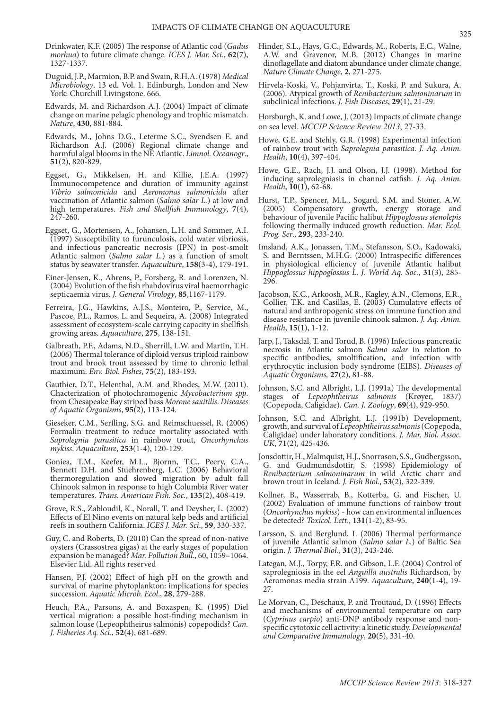- Drinkwater, K.F. (2005) The response of Atlantic cod (*Gadus morhua*) to future climate change. *ICES J. Mar. Sci.*, **62**(7), 1327-1337.
- Duguid, J.P., Marmion, B.P. and Swain, R.H.A. (1978) *Medical Microbiology*. 13 ed. Vol. 1. Edinburgh, London and New York: Churchill Livingstone. 666.
- Edwards, M. and Richardson A.J. (2004) Impact of climate change on marine pelagic phenology and trophic mismatch. *Nature*, **430**, 881-884.
- Edwards, M., Johns D.G., Leterme S.C., Svendsen E. and Richardson A.J. (2006) Regional climate change and harmful algal blooms in the NE Atlantic. *Limnol. Oceanogr*., **51**(2), 820-829.
- Eggset, G., Mikkelsen, H. and Killie, J.E.A. (1997) Immunocompetence and duration of immunity against *Vibrio salmonicida* and *Aeromonas salmonicida* after vaccination of Atlantic salmon (*Salmo salar L.*) at low and high temperatures. *Fish and Shellfish Immunology*, **7**(4), 247-260.
- Eggset, G., Mortensen, A., Johansen, L.H. and Sommer, A.I. (1997) Susceptibility to furunculosis, cold water vibriosis, and infectious pancreatic necrosis (IPN) in post-smolt Atlantic salmon (*Salmo salar L.*) as a function of smolt status by seawater transfer. *Aquaculture*, **158**(3-4), 179-191.
- Einer-Jensen, K., Ahrens, P., Forsberg, R. and Lorenzen, N. (2004) Evolution of the fish rhabdovirus viral haemorrhagic septicaemia virus. *J. General Virology*, **85**,1167-1179.
- Ferreira, J.G., Hawkins, A.J.S., Monteiro, P., Service, M., Pascoe, P.L., Ramos, L. and Sequeira, A. (2008) Integrated assessment of ecosystem-scale carrying capacity in shellfish growing areas. *Aquaculture*, **275**, 138-151.
- Galbreath, P.F., Adams, N.D., Sherrill, L.W. and Martin, T.H. (2006) Thermal tolerance of diploid versus triploid rainbow trout and brook trout assessed by time to chronic lethal maximum. *Env. Biol. Fishes*, **75**(2), 183-193.
- Gauthier, D.T., Helenthal, A.M. and Rhodes, M.W. (2011). Chacterization of photochromogenic *Mycobacterium spp*. from Chesapeake Bay striped bass *Morone saxitilis*. *Diseases of Aquatic Organisms*, **95**(2), 113-124.
- Gieseker, C.M., Serfling, S.G. and Reimschuessel, R. (2006) Formalin treatment to reduce mortality associated with *Saprolegnia parasitica* in rainbow trout, *Oncorhynchus mykiss*. *Aquaculture*, **253**(1-4), 120-129.
- Goniea, T.M., Keefer, M.L., Bjornn, T.C., Peery, C.A., Bennett D.H. and Stuehrenberg, L.C. (2006) Behavioral thermoregulation and slowed migration by adult fall Chinook salmon in response to high Columbia River water temperatures. *Trans. American Fish. Soc.*, **135**(2), 408-419.
- Grove, R.S., Zabloudil, K., Norall, T. and Deysher, L. (2002) Effects of El Nino events on natural kelp beds and artificial reefs in southern California. *ICES J. Mar. Sci*., **59**, 330-337.
- Guy, C. and Roberts, D. (2010) Can the spread of non-native oysters (Crassostrea gigas) at the early stages of population expansion be managed? *Mar. Pollution Bull.*, 60, 1059–1064. Elsevier Ltd. All rights reserved
- Hansen, P.J. (2002) Effect of high pH on the growth and survival of marine phytoplankton: implications for species succession. *Aquatic Microb. Ecol*., **28**, 279-288.
- Heuch, P.A., Parsons, A. and Boxaspen, K. (1995) Diel vertical migration: a possible host-finding mechanism in salmon louse (Lepeophtheirus salmonis) copepodids? *Can. J. Fisheries Aq. Sci.*, **52**(4), 681-689.
- Hinder, S.L., Hays, G.C., Edwards, M., Roberts, E.C., Walne, A.W. and Gravenor, M.B. (2012) Changes in marine dinoflagellate and diatom abundance under climate change. *Nature Climate Change*, **2**, 271-275.
- Hirvela-Koski, V., Pohjanvirta, T., Koski, P. and Sukura, A. (2006). Atypical growth of *Renibacterium salmoninarum* in subclinical infections. *J. Fish Diseases*, **29**(1), 21-29.
- Horsburgh, K. and Lowe, J. (2013) Impacts of climate change on sea level. *MCCIP Science Review 2013*, 27-33.
- Howe, G.E. and Stehly, G.R. (1998) Experimental infection of rainbow trout with *Saprolegnia parasitica*. *J. Aq. Anim. Health*, **10**(4), 397-404.
- Howe, G.E., Rach, J.J. and Olson, J.J. (1998). Method for inducing saprolegniasis in channel catfish. *J. Aq. Anim. Health*, **10**(1), 62-68.
- Hurst, T.P., Spencer, M.L., Sogard, S.M. and Stoner, A.W. (2005) Compensatory growth, energy storage and behaviour of juvenile Pacific halibut *Hippoglossus stenolepis* following thermally induced growth reduction. *Mar. Ecol. Prog. Ser*., **293**, 233-240.
- Imsland, A.K., Jonassen, T.M., Stefansson, S.O., Kadowaki, S. and Berntssen, M.H.G. (2000) Intraspecific differences in physiological efficiency of Juvenile Atlantic halibut *Hippoglossus hippoglossus L*. *J. World Aq. Soc.*, **31**(3), 285- 296.
- Jacobson, K.C., Arkoosh, M.R., Kagley, A.N., Clemons, E.R., Collier, T.K. and Casillas, E. (2003) Cumulative effects of natural and anthropogenic stress on immune function and disease resistance in juvenile chinook salmon. *J. Aq. Anim. Health*, **15**(1), 1-12.
- Jarp, J., Taksdal, T. and Torud, B. (1996) Infectious pancreatic necrosis in Atlantic salmon *Salmo salar* in relation to specific antibodies, smoltification, and infection with erythrocytic inclusion body syndrome (EIBS). *Diseases of Aquatic Organisms,* **27**(2), 81-88.
- Johnson, S.C. and Albright, L.J. (1991a) The developmental stages of *Lepeophtheirus salmonis* (Krøyer, 1837) (Copepoda, Caligidae). *Can. J. Zoology*, **69**(4), 929-950.
- Johnson, S.C. and Albright, L.J. (1991b) Development, growth, and survival of *Lepeophtheirus salmonis* (Copepoda, Caligidae) under laboratory conditions. *J. Mar. Biol. Assoc. UK*, **71**(2), 425-436.
- Jonsdottir, H., Malmquist, H.J., Snorrason, S.S., Gudbergsson, G. and Gudmundsdottir, S. (1998) Epidemiology of *Renibacterium salmoninarum* in wild Arctic charr and brown trout in Iceland. *J. Fish Biol*., **53**(2), 322-339.
- Kollner, B., Wasserrab, B., Kotterba, G. and Fischer, U. (2002) Evaluation of immune functions of rainbow trout (*Oncorhynchus mykiss*) - how can environmental influences be detected? *Toxicol. Lett*., **131**(1-2), 83-95.
- Larsson, S. and Berglund, I. (2006) Thermal performance of juvenile Atlantic salmon (*Salmo salar L.*) of Baltic Sea origin. *J. Thermal Biol.*, **31**(3), 243-246.
- Lategan, M.J., Torpy, F.R. and Gibson, L.F. (2004) Control of saprolegniosis in the eel *Anguilla australis* Richardson, by Aeromonas media strain A199. *Aquaculture*, **240**(1-4), 19- 27.
- Le Morvan, C., Deschaux, P. and Troutaud, D. (1996) Effects and mechanisms of environmental temperature on carp (*Cyprinus carpio*) anti-DNP antibody response and nonspecific cytotoxic cell activity: a kinetic study. *Developmental and Comparative Immunology*, **20**(5), 331-40.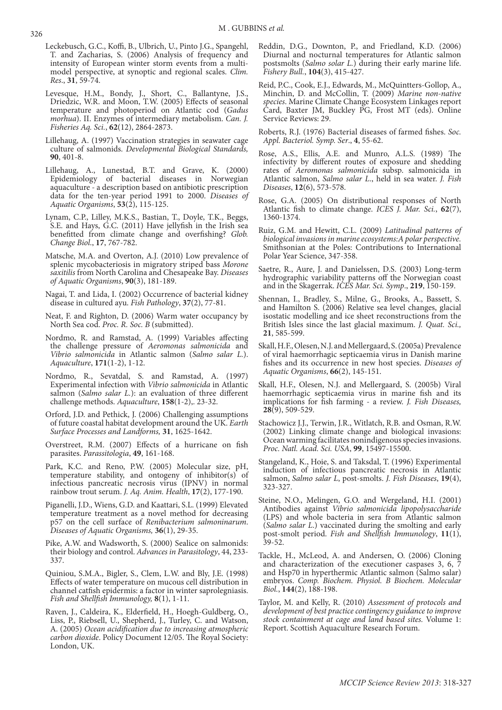- Leckebusch, G.C., Koffi, B., Ulbrich, U., Pinto J.G., Spangehl, T. and Zacharias, S. (2006) Analysis of frequency and intensity of European winter storm events from a multimodel perspective, at synoptic and regional scales. *Clim. Res*., **31**, 59-74.
- Levesque, H.M., Bondy, J., Short, C., Ballantyne, J.S., Driedzic, W.R. and Moon, T.W. (2005) Effects of seasonal temperature and photoperiod on Atlantic cod (*Gadus morhua*). II. Enzymes of intermediary metabolism. *Can. J. Fisheries Aq. Sci.*, **62**(12), 2864-2873.
- Lillehaug, A. (1997) Vaccination strategies in seawater cage culture of salmonids. *Developmental Biological Standards,* **90**, 401-8.
- Lillehaug, A., Lunestad, B.T. and Grave, K. (2000) Epidemiology of bacterial diseases in Norwegian aquaculture - a description based on antibiotic prescription data for the ten-year period 1991 to 2000. *Diseases of Aquatic Organisms*, **53**(2), 115-125.
- Lynam, C.P., Lilley, M.K.S., Bastian, T., Doyle, T.K., Beggs, S.E. and Hays, G.C. (2011) Have jellyfish in the Irish sea benefitted from climate change and overfishing? *Glob. Change Biol*., **17**, 767-782.
- Matsche, M.A. and Overton, A.J. (2010) Low prevalence of splenic mycobacteriosis in migratory striped bass *Morone saxitilis* from North Carolina and Chesapeake Bay. *Diseases of Aquatic Organisms*, **90**(3), 181-189.
- Nagai, T. and Lida, I. (2002) Occurrence of bacterial kidney disease in cultured ayu. *Fish Pathology*, **37**(2), 77-81.
- Neat, F. and Righton, D. (2006) Warm water occupancy by North Sea cod. *Proc. R. Soc. B* (submitted).
- Nordmo, R. and Ramstad, A. (1999) Variables affecting the challenge pressure of *Aeromonas salmonicida* and *Vibrio salmonicida* in Atlantic salmon (*Salmo salar L.*). *Aquaculture*, **171**(1-2), 1-12.
- Nordmo, R., Sevatdal, S. and Ramstad, A. (1997) Experimental infection with *Vibrio salmonicida* in Atlantic salmon (*Salmo salar L.*): an evaluation of three different challenge methods. *Aquaculture*, **158**(1-2),. 23-32.
- Orford, J.D. and Pethick, J. (2006) Challenging assumptions of future coastal habitat development around the UK. *Earth Surface Processes and Landforms,* **31**, 1625-1642.
- Overstreet, R.M. (2007) Effects of a hurricane on fish parasites. *Parassitologia*, **49**, 161-168.
- Park, K.C. and Reno, P.W. (2005) Molecular size, pH, temperature stability, and ontogeny of inhibitor(s) of infectious pancreatic necrosis virus (IPNV) in normal rainbow trout serum. *J. Aq. Anim. Health*, **17**(2), 177-190.
- Piganelli, J.D., Wiens, G.D. and Kaattari, S.L. (1999) Elevated temperature treatment as a novel method for decreasing p57 on the cell surface of *Renibacterium salmoninarum*. *Diseases of Aquatic Organisms,* **36**(1), 29-35.
- Pike, A.W. and Wadsworth, S. (2000) Sealice on salmonids: their biology and control. *Advances in Parasitology*, 44, 233- 337.
- Quiniou, S.M.A., Bigler, S., Clem, L.W. and Bly, J.E. (1998) Effects of water temperature on mucous cell distribution in channel catfish epidermis: a factor in winter saprolegniasis. *Fish and Shellfish Immunology,* **8**(1), 1-11.
- Raven, J., Caldeira, K., Elderfield, H., Hoegh-Guldberg, O., Liss, P., Riebsell, U., Shepherd, J., Turley, C. and Watson, A. (2005) *Ocean acidification due to increasing atmospheric carbon dioxide*. Policy Document 12/05. The Royal Society: London, UK.
- Reddin, D.G., Downton, P., and Friedland, K.D. (2006) Diurnal and nocturnal temperatures for Atlantic salmon postsmolts (*Salmo solar L.*) during their early marine life. *Fishery Bull.*, **104**(3), 415-427.
- Reid, P.C., Cook, E.J., Edwards, M., McQuintters-Gollop, A., Minchin, D. and McCollin, T. (2009) *Marine non-native species*. Marine Climate Change Ecosystem Linkages report Card, Baxter JM, Buckley PG, Frost MT (eds). Online Service Reviews: 29.
- Roberts, R.J. (1976) Bacterial diseases of farmed fishes. *Soc. Appl. Bacteriol. Symp. Ser*., **4**, 55-62.
- Rose, A.S., Ellis, A.E. and Munro, A.L.S. (1989) The infectivity by different routes of exposure and shedding rates of *Aeromonas salmonicida* subsp. salmonicida in Atlantic salmon, *Salmo salar L*., held in sea water. *J. Fish Diseases*, **12**(6), 573-578.
- Rose, G.A. (2005) On distributional responses of North Atlantic fish to climate change. *ICES J. Mar. Sci.*, **62**(7), 1360-1374.
- Ruiz, G.M. and Hewitt, C.L. (2009) *Latitudinal patterns of biological invasions in marine ecosystems:A polar perspective.* Smithsonian at the Poles: Contributions to International Polar Year Science, 347-358.
- Saetre, R., Aure, J. and Danielssen, D.S. (2003) Long-term hydrographic variability patterns off the Norwegian coast and in the Skagerrak. *ICES Mar. Sci. Symp*., **219**, 150-159.
- Shennan, I., Bradley, S., Milne, G., Brooks, A., Bassett, S. and Hamilton S. (2006) Relative sea level changes, glacial isostatic modelling and ice sheet reconstructions from the British Isles since the last glacial maximum. *J. Quat. Sci.,* **21**, 585-599.
- Skall, H.F., Olesen, N.J. and Mellergaard, S. (2005a) Prevalence of viral haemorrhagic septicaemia virus in Danish marine fishes and its occurrence in new host species. *Diseases of Aquatic Organisms*, **66**(2), 145-151.
- Skall, H.F., Olesen, N.J. and Mellergaard, S. (2005b) Viral haemorrhagic septicaemia virus in marine fish and its implications for fish farming - a review. *J. Fish Diseases,* **28**(9), 509-529.
- Stachowicz J.J., Terwin, J.R., Witlatch, R.B. and Osman, R.W. (2002) Linking climate change and biological invasions: Ocean warming facilitates nonindigenous species invasions. *Proc. Natl. Acad. Sci. USA*, **99**, 15497-15500.
- Stangeland, K., Hoie, S. and Taksdal, T. (1996) Experimental induction of infectious pancreatic necrosis in Atlantic salmon, *Salmo salar L*, post-smolts. *J. Fish Diseases*, **19**(4), 323-327.
- Steine, N.O., Melingen, G.O. and Wergeland, H.I. (2001) Antibodies against *Vibrio salmonicida lipopolysaccharide* (LPS) and whole bacteria in sera from Atlantic salmon (*Salmo salar L*.) vaccinated during the smolting and early post-smolt period. *Fish and Shellfish Immunology*, **11**(1), 39-52.
- Tackle, H., McLeod, A. and Andersen, O. (2006) Cloning and characterization of the executioner caspases 3, 6, 7 and Hsp70 in hyperthermic Atlantic salmon (Salmo salar) embryos. *Comp. Biochem. Physiol. B Biochem. Molecular Biol.*, **144**(2), 188-198.
- Taylor, M. and Kelly, R. (2010) *Assessment of protocols and development of best practice contingency guidance to improve stock containment at cage and land based sites.* Volume 1: Report. Scottish Aquaculture Research Forum.